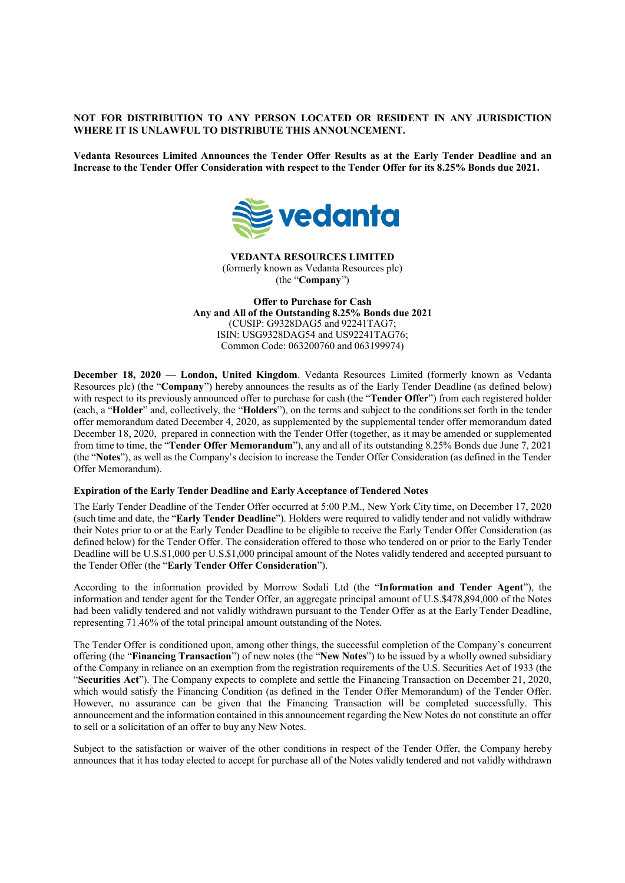# **NOT FOR DISTRIBUTION TO ANY PERSON LOCATED OR RESIDENT IN ANY JURISDICTION WHERE IT IS UNLAWFUL TO DISTRIBUTE THIS ANNOUNCEMENT.**

**Vedanta Resources Limited Announces the Tender Offer Results as at the Early Tender Deadline and an Increase to the Tender Offer Consideration with respect to the Tender Offer for its 8.25% Bonds due 2021.**



**VEDANTA RESOURCES LIMITED** (formerly known as Vedanta Resources plc) (the "**Company**")

**Offer to Purchase for Cash Any and All of the Outstanding 8.25% Bonds due 2021** (CUSIP: G9328DAG5 and 92241TAG7; ISIN: USG9328DAG54 and US92241TAG76; Common Code: 063200760 and 063199974)

**December 18, 2020 — London, United Kingdom**. Vedanta Resources Limited (formerly known as Vedanta Resources plc) (the "**Company**") hereby announces the results as of the Early Tender Deadline (as defined below) with respect to its previously announced offer to purchase for cash (the "**Tender Offer**") from each registered holder (each, a "**Holder**" and, collectively, the "**Holders**"), on the terms and subject to the conditions set forth in the tender offer memorandum dated December 4, 2020, as supplemented by the supplemental tender offer memorandum dated December 18, 2020, prepared in connection with the Tender Offer (together, as it may be amended or supplemented from time to time, the "**Tender Offer Memorandum**"), any and all of its outstanding 8.25% Bonds due June 7, 2021 (the "**Notes**"), as well as the Company's decision to increase the Tender Offer Consideration (as defined in the Tender Offer Memorandum).

## **Expiration of the Early Tender Deadline and Early Acceptance of Tendered Notes**

The Early Tender Deadline of the Tender Offer occurred at 5:00 P.M., New York City time, on December 17, 2020 (such time and date, the "**Early Tender Deadline**"). Holders were required to validly tender and not validly withdraw their Notes prior to or at the Early Tender Deadline to be eligible to receive the Early Tender Offer Consideration (as defined below) for the Tender Offer. The consideration offered to those who tendered on or prior to the Early Tender Deadline will be U.S.\$1,000 per U.S.\$1,000 principal amount of the Notes validly tendered and accepted pursuant to the Tender Offer (the "**Early Tender Offer Consideration**").

According to the information provided by Morrow Sodali Ltd (the "**Information and Tender Agent**"), the information and tender agent for the Tender Offer, an aggregate principal amount of U.S.\$478,894,000 of the Notes had been validly tendered and not validly withdrawn pursuant to the Tender Offer as at the Early Tender Deadline, representing 71.46% of the total principal amount outstanding of the Notes.

The Tender Offer is conditioned upon, among other things, the successful completion of the Company's concurrent offering (the "**Financing Transaction**") of new notes (the "**New Notes**") to be issued by a wholly owned subsidiary of the Company in reliance on an exemption from the registration requirements of the U.S. Securities Act of 1933 (the "**Securities Act**"). The Company expects to complete and settle the Financing Transaction on December 21, 2020, which would satisfy the Financing Condition (as defined in the Tender Offer Memorandum) of the Tender Offer. However, no assurance can be given that the Financing Transaction will be completed successfully. This announcement and the information contained in this announcement regarding the New Notes do not constitute an offer to sell or a solicitation of an offer to buy any New Notes.

Subject to the satisfaction or waiver of the other conditions in respect of the Tender Offer, the Company hereby announces that it has today elected to accept for purchase all of the Notes validly tendered and not validly withdrawn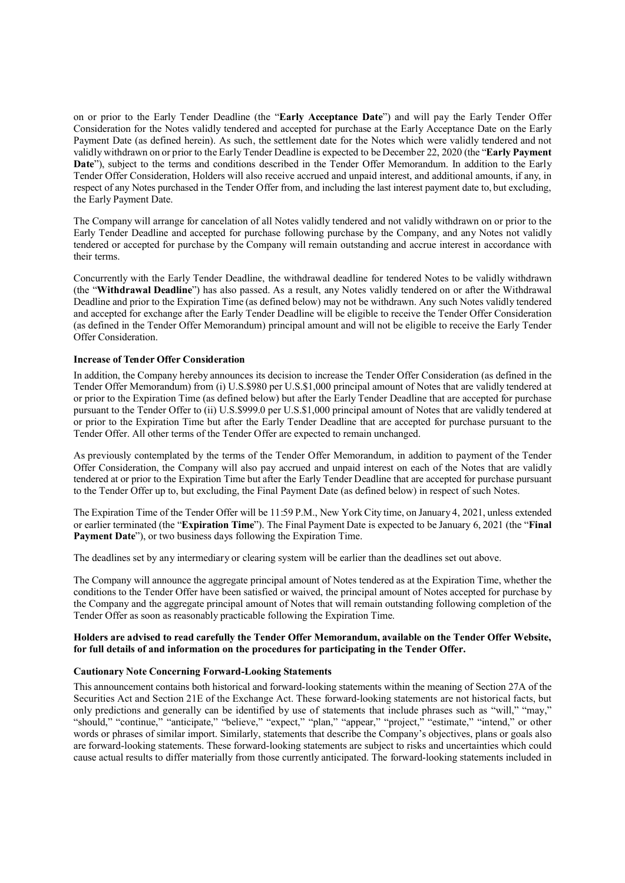on or prior to the Early Tender Deadline (the "**Early Acceptance Date**") and will pay the Early Tender Offer Consideration for the Notes validly tendered and accepted for purchase at the Early Acceptance Date on the Early Payment Date (as defined herein). As such, the settlement date for the Notes which were validly tendered and not validly withdrawn on or prior to the Early Tender Deadline is expected to be December 22, 2020 (the "**Early Payment Date**"), subject to the terms and conditions described in the Tender Offer Memorandum. In addition to the Early Tender Offer Consideration, Holders will also receive accrued and unpaid interest, and additional amounts, if any, in respect of any Notes purchased in the Tender Offer from, and including the last interest payment date to, but excluding, the Early Payment Date.

The Company will arrange for cancelation of all Notes validly tendered and not validly withdrawn on or prior to the Early Tender Deadline and accepted for purchase following purchase by the Company, and any Notes not validly tendered or accepted for purchase by the Company will remain outstanding and accrue interest in accordance with their terms.

Concurrently with the Early Tender Deadline, the withdrawal deadline for tendered Notes to be validly withdrawn (the "**Withdrawal Deadline**") has also passed. As a result, any Notes validly tendered on or after the Withdrawal Deadline and prior to the Expiration Time (as defined below) may not be withdrawn. Any such Notes validly tendered and accepted for exchange after the Early Tender Deadline will be eligible to receive the Tender Offer Consideration (as defined in the Tender Offer Memorandum) principal amount and will not be eligible to receive the Early Tender Offer Consideration.

# **Increase of Tender Offer Consideration**

In addition, the Company hereby announces its decision to increase the Tender Offer Consideration (as defined in the Tender Offer Memorandum) from (i) U.S.\$980 per U.S.\$1,000 principal amount of Notes that are validly tendered at or prior to the Expiration Time (as defined below) but after the Early Tender Deadline that are accepted for purchase pursuant to the Tender Offer to (ii) U.S.\$999.0 per U.S.\$1,000 principal amount of Notes that are validly tendered at or prior to the Expiration Time but after the Early Tender Deadline that are accepted for purchase pursuant to the Tender Offer. All other terms of the Tender Offer are expected to remain unchanged.

As previously contemplated by the terms of the Tender Offer Memorandum, in addition to payment of the Tender Offer Consideration, the Company will also pay accrued and unpaid interest on each of the Notes that are validly tendered at or prior to the Expiration Time but after the Early Tender Deadline that are accepted for purchase pursuant to the Tender Offer up to, but excluding, the Final Payment Date (as defined below) in respect of such Notes.

The Expiration Time of the Tender Offer will be 11:59 P.M., New York City time, on January 4, 2021, unless extended or earlier terminated (the "**Expiration Time**"). The Final Payment Date is expected to be January 6, 2021 (the "**Final Payment Date**"), or two business days following the Expiration Time.

The deadlines set by any intermediary or clearing system will be earlier than the deadlines set out above.

The Company will announce the aggregate principal amount of Notes tendered as at the Expiration Time, whether the conditions to the Tender Offer have been satisfied or waived, the principal amount of Notes accepted for purchase by the Company and the aggregate principal amount of Notes that will remain outstanding following completion of the Tender Offer as soon as reasonably practicable following the Expiration Time.

# **Holders are advised to read carefully the Tender Offer Memorandum, available on the Tender Offer Website, for full details of and information on the procedures for participating in the Tender Offer.**

# **Cautionary Note Concerning Forward-Looking Statements**

This announcement contains both historical and forward-looking statements within the meaning of Section 27A of the Securities Act and Section 21E of the Exchange Act. These forward-looking statements are not historical facts, but only predictions and generally can be identified by use of statements that include phrases such as "will," "may," "should," "continue," "anticipate," "believe," "expect," "plan," "appear," "project," "estimate," "intend," or other words or phrases of similar import. Similarly, statements that describe the Company's objectives, plans or goals also are forward-looking statements. These forward-looking statements are subject to risks and uncertainties which could cause actual results to differ materially from those currently anticipated. The forward-looking statements included in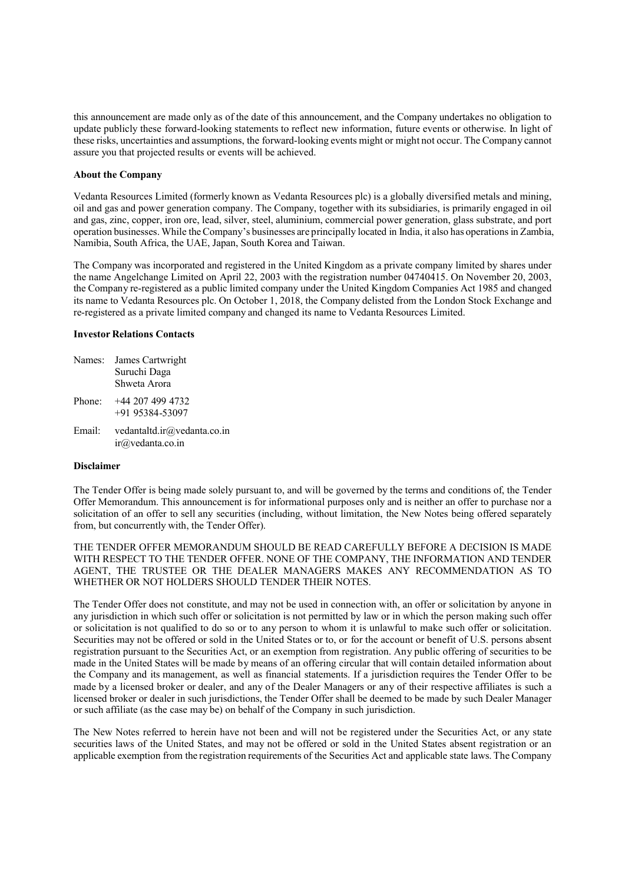this announcement are made only as of the date of this announcement, and the Company undertakes no obligation to update publicly these forward-looking statements to reflect new information, future events or otherwise. In light of these risks, uncertainties and assumptions, the forward-looking events might or might not occur. The Company cannot assure you that projected results or events will be achieved.

# **About the Company**

Vedanta Resources Limited (formerly known as Vedanta Resources plc) is a globally diversified metals and mining, oil and gas and power generation company. The Company, together with its subsidiaries, is primarily engaged in oil and gas, zinc, copper, iron ore, lead, silver, steel, aluminium, commercial power generation, glass substrate, and port operation businesses. While the Company's businesses are principally located in India, it also has operations in Zambia, Namibia, South Africa, the UAE, Japan, South Korea and Taiwan.

The Company was incorporated and registered in the United Kingdom as a private company limited by shares under the name Angelchange Limited on April 22, 2003 with the registration number 04740415. On November 20, 2003, the Company re-registered as a public limited company under the United Kingdom Companies Act 1985 and changed its name to Vedanta Resources plc. On October 1, 2018, the Company delisted from the London Stock Exchange and re-registered as a private limited company and changed its name to Vedanta Resources Limited.

## **Investor Relations Contacts**

| Names: | James Cartwright<br>Suruchi Daga<br>Shweta Arora |
|--------|--------------------------------------------------|
| Phone: | +44 207 499 4732<br>+91 95384-53097              |
| Email: | vedantaltd.ir@vedanta.co.in<br>ir@vedanta.co.in  |

## **Disclaimer**

The Tender Offer is being made solely pursuant to, and will be governed by the terms and conditions of, the Tender Offer Memorandum. This announcement is for informational purposes only and is neither an offer to purchase nor a solicitation of an offer to sell any securities (including, without limitation, the New Notes being offered separately from, but concurrently with, the Tender Offer).

THE TENDER OFFER MEMORANDUM SHOULD BE READ CAREFULLY BEFORE A DECISION IS MADE WITH RESPECT TO THE TENDER OFFER. NONE OF THE COMPANY, THE INFORMATION AND TENDER AGENT, THE TRUSTEE OR THE DEALER MANAGERS MAKES ANY RECOMMENDATION AS TO WHETHER OR NOT HOLDERS SHOULD TENDER THEIR NOTES.

The Tender Offer does not constitute, and may not be used in connection with, an offer or solicitation by anyone in any jurisdiction in which such offer or solicitation is not permitted by law or in which the person making such offer or solicitation is not qualified to do so or to any person to whom it is unlawful to make such offer or solicitation. Securities may not be offered or sold in the United States or to, or for the account or benefit of U.S. persons absent registration pursuant to the Securities Act, or an exemption from registration. Any public offering of securities to be made in the United States will be made by means of an offering circular that will contain detailed information about the Company and its management, as well as financial statements. If a jurisdiction requires the Tender Offer to be made by a licensed broker or dealer, and any of the Dealer Managers or any of their respective affiliates is such a licensed broker or dealer in such jurisdictions, the Tender Offer shall be deemed to be made by such Dealer Manager or such affiliate (as the case may be) on behalf of the Company in such jurisdiction.

The New Notes referred to herein have not been and will not be registered under the Securities Act, or any state securities laws of the United States, and may not be offered or sold in the United States absent registration or an applicable exemption from the registration requirements of the Securities Act and applicable state laws. The Company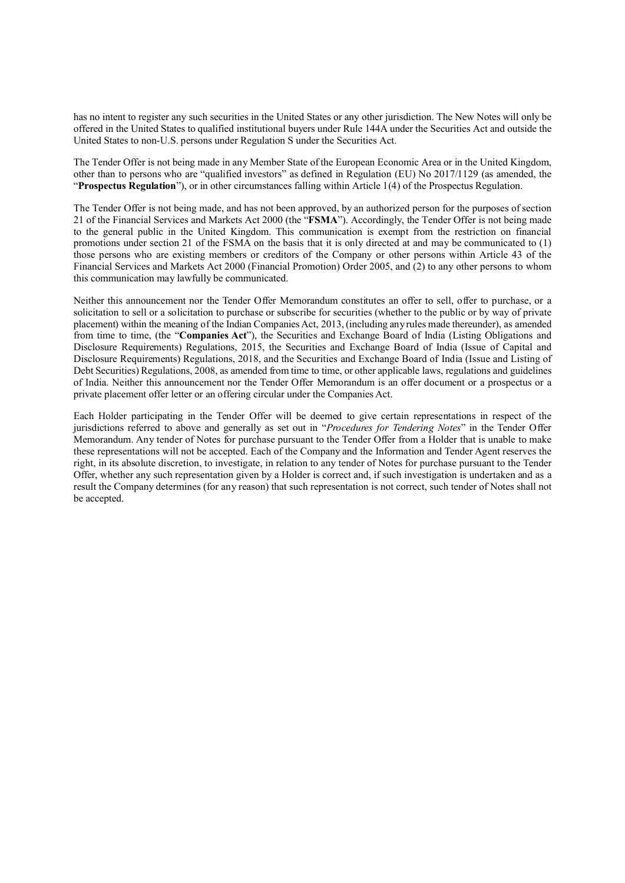has no intent to register any such securities in the United States or any other jurisdiction. The New Notes will only be offered in the United States to qualified institutional buyers under Rule 144A under the Securities Act and outside the United States to non-U.S. persons under Regulation S under the Securities Act.

The Tender Offer is not being made in any Member State of the European Economic Area or in the United Kingdom, other than to persons who are "qualified investors" as defined in Regulation (EU) No 2017/1129 (as amended, the "**Prospectus Regulation**"), or in other circumstances falling within Article 1(4) of the Prospectus Regulation.

The Tender Offer is not being made, and has not been approved, by an authorized person for the purposes of section 21 of the Financial Services and Markets Act 2000 (the "**FSMA**"). Accordingly, the Tender Offer is not being made to the general public in the United Kingdom. This communication is exempt from the restriction on financial promotions under section 21 of the FSMA on the basis that it is only directed at and may be communicated to (1) those persons who are existing members or creditors of the Company or other persons within Article 43 of the Financial Services and Markets Act 2000 (Financial Promotion) Order 2005, and (2) to any other persons to whom this communication may lawfully be communicated.

Neither this announcement nor the Tender Offer Memorandum constitutes an offer to sell, offer to purchase, or a solicitation to sell or a solicitation to purchase or subscribe for securities (whether to the public or by way of private placement) within the meaning of the Indian Companies Act, 2013, (including anyrules made thereunder), as amended from time to time, (the "**Companies Act**"), the Securities and Exchange Board of India (Listing Obligations and Disclosure Requirements) Regulations, 2015, the Securities and Exchange Board of India (Issue of Capital and Disclosure Requirements) Regulations, 2018, and the Securities and Exchange Board of India (Issue and Listing of Debt Securities) Regulations, 2008, as amended from time to time, or other applicable laws, regulations and guidelines of India. Neither this announcement nor the Tender Offer Memorandum is an offer document or a prospectus or a private placement offer letter or an offering circular under the Companies Act.

Each Holder participating in the Tender Offer will be deemed to give certain representations in respect of the jurisdictions referred to above and generally as set out in "*Procedures for Tendering Notes*" in the Tender Offer Memorandum. Any tender of Notes for purchase pursuant to the Tender Offer from a Holder that is unable to make these representations will not be accepted. Each of the Company and the Information and Tender Agent reserves the right, in its absolute discretion, to investigate, in relation to any tender of Notes for purchase pursuant to the Tender Offer, whether any such representation given by a Holder is correct and, if such investigation is undertaken and as a result the Company determines (for any reason) that such representation is not correct, such tender of Notes shall not be accepted.